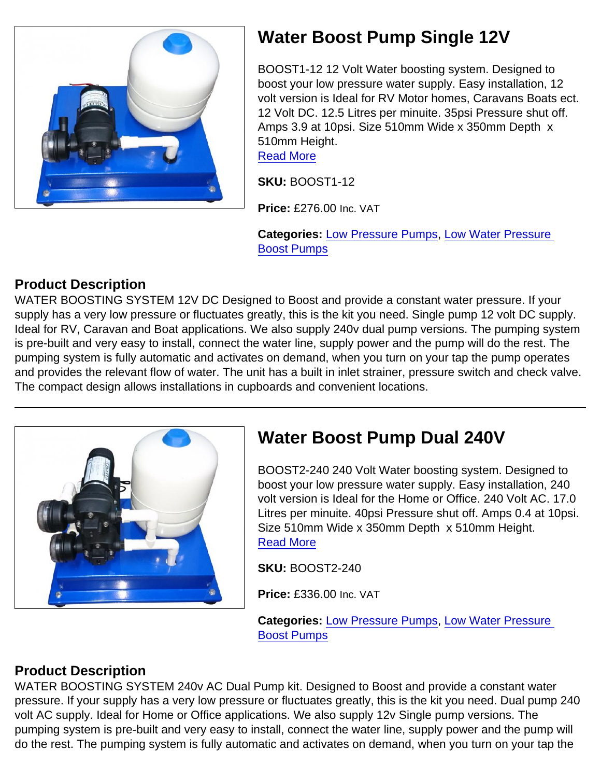

## Water Boost Pump Single 12V

BOOST1-12 12 Volt Water boosting system. Designed to boost your low pressure water supply. Easy installation, 12 volt version is Ideal for RV Motor homes, Caravans Boats ect. 12 Volt DC. 12.5 Litres per minuite. 35psi Pressure shut off. Amps 3.9 at 10psi. Size 510mm Wide x 350mm Depth x 510mm Height.

[Read More](https://unifloproducts.co.uk/product/water-boost-pump-single-12v/)

SKU: BOOST1-12

Price: £276.00 Inc. VAT

Categories: [Low Pressure Pumps](https://unifloproducts.co.uk/product-category/low-water-pressure-boost-pumps/low-pressure-pumps/), [Low Water Pressure](https://unifloproducts.co.uk/product-category/low-water-pressure-boost-pumps/)  [Boost Pumps](https://unifloproducts.co.uk/product-category/low-water-pressure-boost-pumps/)

## Product Description

WATER BOOSTING SYSTEM 12V DC Designed to Boost and provide a constant water pressure. If your supply has a very low pressure or fluctuates greatly, this is the kit you need. Single pump 12 volt DC supply. Ideal for RV, Caravan and Boat applications. We also supply 240v dual pump versions. The pumping system is pre-built and very easy to install, connect the water line, supply power and the pump will do the rest. The pumping system is fully automatic and activates on demand, when you turn on your tap the pump operates and provides the relevant flow of water. The unit has a built in inlet strainer, pressure switch and check valve. The compact design allows installations in cupboards and convenient locations.

BOOST2-240 240 Volt Water boosting system. Designed to boost your low pressure water supply. Easy installation, 240 volt version is Ideal for the Home or Office. 240 Volt AC. 17.0 Litres per minuite. 40psi Pressure shut off. Amps 0.4 at 10psi. Size 510mm Wide x 350mm Depth x 510mm Height. [Read More](https://unifloproducts.co.uk/product/water-boost-pump-dual-240v/)

SKU: BOOST2-240

Price: £336.00 Inc. VAT

Categories: [Low Pressure Pumps](https://unifloproducts.co.uk/product-category/low-water-pressure-boost-pumps/low-pressure-pumps/), [Low Water Pressure](https://unifloproducts.co.uk/product-category/low-water-pressure-boost-pumps/)  [Boost Pumps](https://unifloproducts.co.uk/product-category/low-water-pressure-boost-pumps/)

## Product Description

WATER BOOSTING SYSTEM 240v AC Dual Pump kit. Designed to Boost and provide a constant water pressure. If your supply has a very low pressure or fluctuates greatly, this is the kit you need. Dual pump 240 volt AC supply. Ideal for Home or Office applications. We also supply 12v Single pump versions. The pumping system is pre-built and very easy to install, connect the water line, supply power and the pump will do the rest. The pumping system is fully automatic and activates on demand, when you turn on your tap the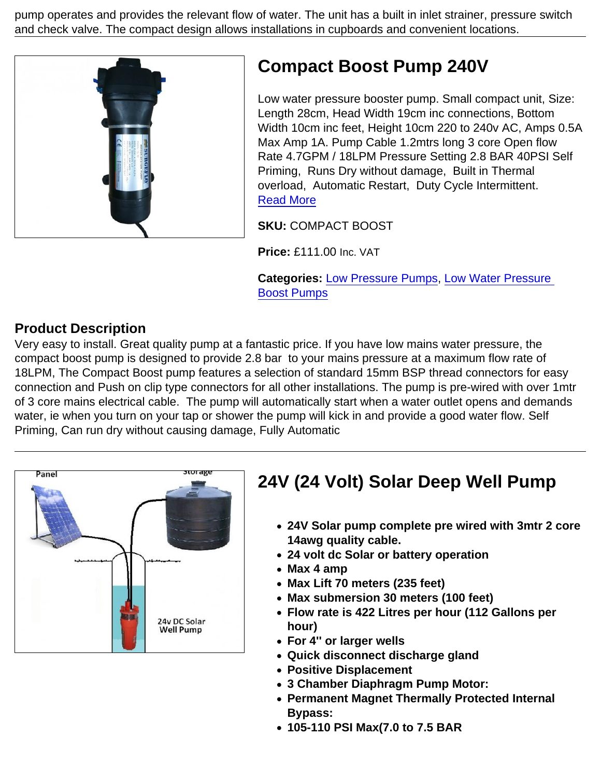pump operates and provides the relevant flow of water. The unit has a built in inlet strainer, pressure switch and check valve. The compact design allows installations in cupboards and convenient locations.

# Compact Boost Pump 240V

Low water pressure booster pump. Small compact unit, Size: Length 28cm, Head Width 19cm inc connections, Bottom Width 10cm inc feet, Height 10cm 220 to 240v AC, Amps 0.5A Max Amp 1A. Pump Cable 1.2mtrs long 3 core Open flow Rate 4.7GPM / 18LPM Pressure Setting 2.8 BAR 40PSI Self Priming, Runs Dry without damage, Built in Thermal overload, Automatic Restart, Duty Cycle Intermittent. [Read More](https://unifloproducts.co.uk/product/compact-boost-pump-240v/)

SKU: COMPACT BOOST

Price: £111.00 Inc. VAT

Categories: [Low Pressure Pumps](https://unifloproducts.co.uk/product-category/low-water-pressure-boost-pumps/low-pressure-pumps/), [Low Water Pressure](https://unifloproducts.co.uk/product-category/low-water-pressure-boost-pumps/)  [Boost Pumps](https://unifloproducts.co.uk/product-category/low-water-pressure-boost-pumps/)

#### Product Description

Very easy to install. Great quality pump at a fantastic price. If you have low mains water pressure, the compact boost pump is designed to provide 2.8 bar to your mains pressure at a maximum flow rate of 18LPM, The Compact Boost pump features a selection of standard 15mm BSP thread connectors for easy connection and Push on clip type connectors for all other installations. The pump is pre-wired with over 1mtr of 3 core mains electrical cable. The pump will automatically start when a water outlet opens and demands water, ie when you turn on your tap or shower the pump will kick in and provide a good water flow. Self Priming, Can run dry without causing damage, Fully Automatic

| 24V (24 Volt) Solar Deep Well Pump                                                                                                                                                                                                                                                                                                                                                      |
|-----------------------------------------------------------------------------------------------------------------------------------------------------------------------------------------------------------------------------------------------------------------------------------------------------------------------------------------------------------------------------------------|
| • 24V Solar pump complete pre wired with 3mtr 2 core<br>14awg quality cable.<br>• 24 volt dc Solar or battery operation<br>$\bullet$ Max 4 amp<br>• Max Lift 70 meters (235 feet)<br>• Max submersion 30 meters (100 feet)<br>• Flow rate is 422 Litres per hour (112 Gallons per<br>hour)<br>• For 4" or larger wells<br>• Quick disconnect discharge gland<br>• Positive Displacement |

- 3 Chamber Diaphragm Pump Motor:
- Permanent Magnet Thermally Protected Internal Bypass:
- 105-110 PSI Max(7.0 to 7.5 BAR